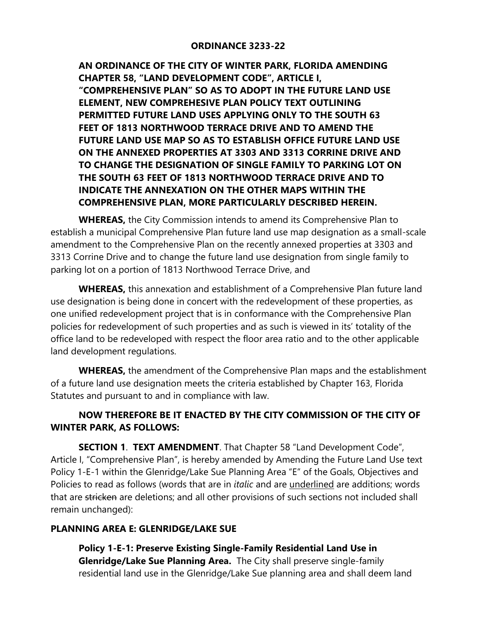## **ORDINANCE 3233-22**

**AN ORDINANCE OF THE CITY OF WINTER PARK, FLORIDA AMENDING CHAPTER 58, "LAND DEVELOPMENT CODE", ARTICLE I, "COMPREHENSIVE PLAN" SO AS TO ADOPT IN THE FUTURE LAND USE ELEMENT, NEW COMPREHESIVE PLAN POLICY TEXT OUTLINING PERMITTED FUTURE LAND USES APPLYING ONLY TO THE SOUTH 63 FEET OF 1813 NORTHWOOD TERRACE DRIVE AND TO AMEND THE FUTURE LAND USE MAP SO AS TO ESTABLISH OFFICE FUTURE LAND USE ON THE ANNEXED PROPERTIES AT 3303 AND 3313 CORRINE DRIVE AND TO CHANGE THE DESIGNATION OF SINGLE FAMILY TO PARKING LOT ON THE SOUTH 63 FEET OF 1813 NORTHWOOD TERRACE DRIVE AND TO INDICATE THE ANNEXATION ON THE OTHER MAPS WITHIN THE COMPREHENSIVE PLAN, MORE PARTICULARLY DESCRIBED HEREIN.** 

**WHEREAS,** the City Commission intends to amend its Comprehensive Plan to establish a municipal Comprehensive Plan future land use map designation as a small-scale amendment to the Comprehensive Plan on the recently annexed properties at 3303 and 3313 Corrine Drive and to change the future land use designation from single family to parking lot on a portion of 1813 Northwood Terrace Drive, and

**WHEREAS,** this annexation and establishment of a Comprehensive Plan future land use designation is being done in concert with the redevelopment of these properties, as one unified redevelopment project that is in conformance with the Comprehensive Plan policies for redevelopment of such properties and as such is viewed in its' totality of the office land to be redeveloped with respect the floor area ratio and to the other applicable land development regulations.

**WHEREAS,** the amendment of the Comprehensive Plan maps and the establishment of a future land use designation meets the criteria established by Chapter 163, Florida Statutes and pursuant to and in compliance with law.

## **NOW THEREFORE BE IT ENACTED BY THE CITY COMMISSION OF THE CITY OF WINTER PARK, AS FOLLOWS:**

**SECTION 1**. **TEXT AMENDMENT**. That Chapter 58 "Land Development Code", Article I, "Comprehensive Plan", is hereby amended by Amending the Future Land Use text Policy 1-E-1 within the Glenridge/Lake Sue Planning Area "E" of the Goals, Objectives and Policies to read as follows (words that are in *italic* and are underlined are additions; words that are stricken are deletions; and all other provisions of such sections not included shall remain unchanged):

## **PLANNING AREA E: GLENRIDGE/LAKE SUE**

**Policy 1-E-1: Preserve Existing Single-Family Residential Land Use in Glenridge/Lake Sue Planning Area.** The City shall preserve single-family residential land use in the Glenridge/Lake Sue planning area and shall deem land